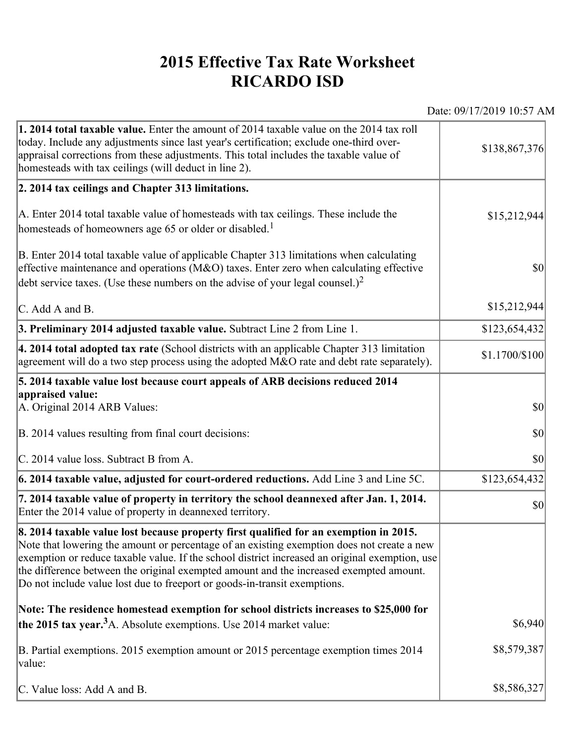## **2015 Effective Tax Rate Worksheet RICARDO ISD**

Date: 09/17/2019 10:57 AM

| <b>1. 2014 total taxable value.</b> Enter the amount of 2014 taxable value on the 2014 tax roll<br>today. Include any adjustments since last year's certification; exclude one-third over-<br>appraisal corrections from these adjustments. This total includes the taxable value of<br>homesteads with tax ceilings (will deduct in line 2).                                                                                                                | \$138,867,376  |
|--------------------------------------------------------------------------------------------------------------------------------------------------------------------------------------------------------------------------------------------------------------------------------------------------------------------------------------------------------------------------------------------------------------------------------------------------------------|----------------|
| 2. 2014 tax ceilings and Chapter 313 limitations.                                                                                                                                                                                                                                                                                                                                                                                                            |                |
| A. Enter 2014 total taxable value of homesteads with tax ceilings. These include the<br>homesteads of homeowners age 65 or older or disabled. <sup>1</sup>                                                                                                                                                                                                                                                                                                   | \$15,212,944   |
| B. Enter 2014 total taxable value of applicable Chapter 313 limitations when calculating<br>effective maintenance and operations ( $M&O$ ) taxes. Enter zero when calculating effective<br>debt service taxes. (Use these numbers on the advise of your legal counsel.) <sup>2</sup>                                                                                                                                                                         | $ 10\rangle$   |
| $\mathcal{C}$ . Add A and B.                                                                                                                                                                                                                                                                                                                                                                                                                                 | \$15,212,944   |
| 3. Preliminary 2014 adjusted taxable value. Subtract Line 2 from Line 1.                                                                                                                                                                                                                                                                                                                                                                                     | \$123,654,432  |
| $\vert$ 4. 2014 total adopted tax rate (School districts with an applicable Chapter 313 limitation<br>agreement will do a two step process using the adopted M&O rate and debt rate separately).                                                                                                                                                                                                                                                             | \$1.1700/\$100 |
| 5. 2014 taxable value lost because court appeals of ARB decisions reduced 2014                                                                                                                                                                                                                                                                                                                                                                               |                |
| appraised value:<br>A. Original 2014 ARB Values:                                                                                                                                                                                                                                                                                                                                                                                                             | $ 10\rangle$   |
| B. 2014 values resulting from final court decisions:                                                                                                                                                                                                                                                                                                                                                                                                         | $ 10\rangle$   |
| C. 2014 value loss. Subtract B from A.                                                                                                                                                                                                                                                                                                                                                                                                                       | 30             |
| 6. 2014 taxable value, adjusted for court-ordered reductions. Add Line 3 and Line 5C.                                                                                                                                                                                                                                                                                                                                                                        | \$123,654,432  |
| 7. 2014 taxable value of property in territory the school deannexed after Jan. 1, 2014.<br>Enter the 2014 value of property in deannexed territory.                                                                                                                                                                                                                                                                                                          | $ 10\rangle$   |
| 8. 2014 taxable value lost because property first qualified for an exemption in 2015.<br>Note that lowering the amount or percentage of an existing exemption does not create a new<br>exemption or reduce taxable value. If the school district increased an original exemption, use<br>the difference between the original exempted amount and the increased exempted amount.<br>Do not include value lost due to freeport or goods-in-transit exemptions. |                |
| Note: The residence homestead exemption for school districts increases to \$25,000 for                                                                                                                                                                                                                                                                                                                                                                       |                |
| the 2015 tax year. <sup>3</sup> A. Absolute exemptions. Use 2014 market value:                                                                                                                                                                                                                                                                                                                                                                               | \$6,940        |
| B. Partial exemptions. 2015 exemption amount or 2015 percentage exemption times 2014<br>value:                                                                                                                                                                                                                                                                                                                                                               | \$8,579,387    |
| C. Value loss: Add A and B.                                                                                                                                                                                                                                                                                                                                                                                                                                  | \$8,586,327    |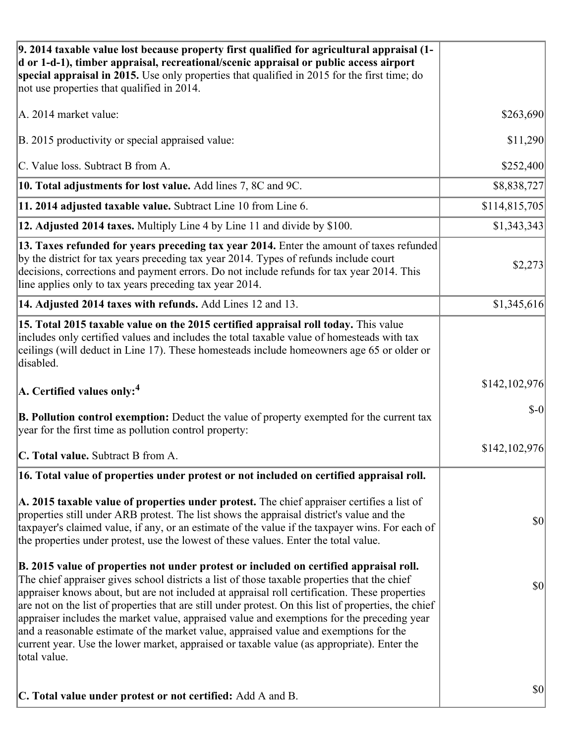| 9. 2014 taxable value lost because property first qualified for agricultural appraisal (1-<br>d or 1-d-1), timber appraisal, recreational/scenic appraisal or public access airport<br>special appraisal in 2015. Use only properties that qualified in 2015 for the first time; do<br>not use properties that qualified in 2014.                                                                                                                                                                                                                                                                                                                                                                     |               |
|-------------------------------------------------------------------------------------------------------------------------------------------------------------------------------------------------------------------------------------------------------------------------------------------------------------------------------------------------------------------------------------------------------------------------------------------------------------------------------------------------------------------------------------------------------------------------------------------------------------------------------------------------------------------------------------------------------|---------------|
| A. 2014 market value:                                                                                                                                                                                                                                                                                                                                                                                                                                                                                                                                                                                                                                                                                 | \$263,690     |
| B. 2015 productivity or special appraised value:                                                                                                                                                                                                                                                                                                                                                                                                                                                                                                                                                                                                                                                      | \$11,290      |
| C. Value loss. Subtract B from A.                                                                                                                                                                                                                                                                                                                                                                                                                                                                                                                                                                                                                                                                     | \$252,400     |
| 10. Total adjustments for lost value. Add lines 7, 8C and 9C.                                                                                                                                                                                                                                                                                                                                                                                                                                                                                                                                                                                                                                         | \$8,838,727   |
| 11. 2014 adjusted taxable value. Subtract Line 10 from Line 6.                                                                                                                                                                                                                                                                                                                                                                                                                                                                                                                                                                                                                                        | \$114,815,705 |
| 12. Adjusted 2014 taxes. Multiply Line 4 by Line 11 and divide by \$100.                                                                                                                                                                                                                                                                                                                                                                                                                                                                                                                                                                                                                              | \$1,343,343   |
| 13. Taxes refunded for years preceding tax year 2014. Enter the amount of taxes refunded<br>by the district for tax years preceding tax year 2014. Types of refunds include court<br>decisions, corrections and payment errors. Do not include refunds for tax year 2014. This<br>line applies only to tax years preceding tax year 2014.                                                                                                                                                                                                                                                                                                                                                             | \$2,273       |
| 14. Adjusted 2014 taxes with refunds. Add Lines 12 and 13.                                                                                                                                                                                                                                                                                                                                                                                                                                                                                                                                                                                                                                            | \$1,345,616   |
| 15. Total 2015 taxable value on the 2015 certified appraisal roll today. This value<br>includes only certified values and includes the total taxable value of homesteads with tax<br>ceilings (will deduct in Line 17). These homesteads include homeowners age 65 or older or<br>disabled.                                                                                                                                                                                                                                                                                                                                                                                                           |               |
| $ A$ . Certified values only: <sup>4</sup>                                                                                                                                                                                                                                                                                                                                                                                                                                                                                                                                                                                                                                                            | \$142,102,976 |
| <b>B. Pollution control exemption:</b> Deduct the value of property exempted for the current tax<br>year for the first time as pollution control property:                                                                                                                                                                                                                                                                                                                                                                                                                                                                                                                                            | $$-0$         |
| C. Total value. Subtract B from A.                                                                                                                                                                                                                                                                                                                                                                                                                                                                                                                                                                                                                                                                    | \$142,102,976 |
| 16. Total value of properties under protest or not included on certified appraisal roll.                                                                                                                                                                                                                                                                                                                                                                                                                                                                                                                                                                                                              |               |
| A. 2015 taxable value of properties under protest. The chief appraiser certifies a list of<br>properties still under ARB protest. The list shows the appraisal district's value and the<br>taxpayer's claimed value, if any, or an estimate of the value if the taxpayer wins. For each of<br>the properties under protest, use the lowest of these values. Enter the total value.                                                                                                                                                                                                                                                                                                                    | \$0           |
| B. 2015 value of properties not under protest or included on certified appraisal roll.<br>The chief appraiser gives school districts a list of those taxable properties that the chief<br>appraiser knows about, but are not included at appraisal roll certification. These properties<br>are not on the list of properties that are still under protest. On this list of properties, the chief<br>appraiser includes the market value, appraised value and exemptions for the preceding year<br>and a reasonable estimate of the market value, appraised value and exemptions for the<br>current year. Use the lower market, appraised or taxable value (as appropriate). Enter the<br>total value. | \$0           |
| C. Total value under protest or not certified: Add A and B.                                                                                                                                                                                                                                                                                                                                                                                                                                                                                                                                                                                                                                           | \$0           |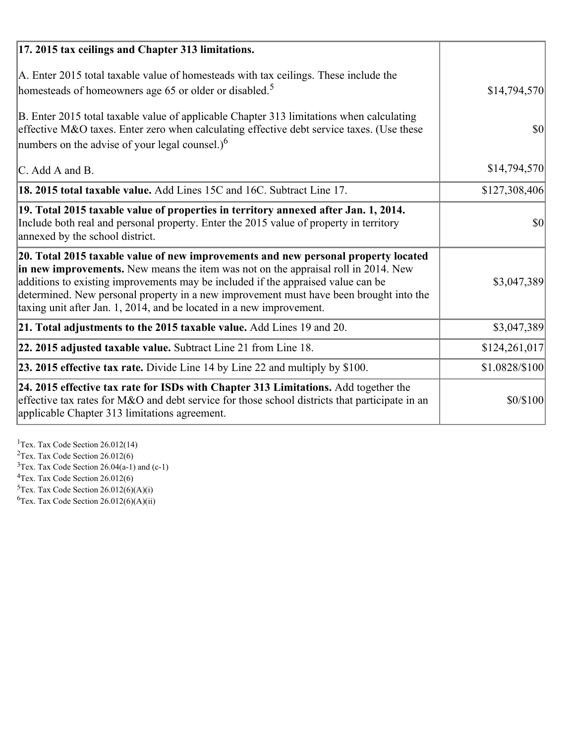| 17. 2015 tax ceilings and Chapter 313 limitations.                                                                                                                                                                                                                                                                                                                                                                             |                |
|--------------------------------------------------------------------------------------------------------------------------------------------------------------------------------------------------------------------------------------------------------------------------------------------------------------------------------------------------------------------------------------------------------------------------------|----------------|
| A. Enter 2015 total taxable value of homesteads with tax ceilings. These include the<br>homesteads of homeowners age 65 or older or disabled. <sup>5</sup>                                                                                                                                                                                                                                                                     | \$14,794,570   |
| B. Enter 2015 total taxable value of applicable Chapter 313 limitations when calculating<br>effective M&O taxes. Enter zero when calculating effective debt service taxes. (Use these<br>numbers on the advise of your legal counsel.) $6$                                                                                                                                                                                     | 30             |
| C. Add A and B.                                                                                                                                                                                                                                                                                                                                                                                                                | \$14,794,570   |
| 18. 2015 total taxable value. Add Lines 15C and 16C. Subtract Line 17.                                                                                                                                                                                                                                                                                                                                                         | \$127,308,406  |
| 19. Total 2015 taxable value of properties in territory annexed after Jan. 1, 2014.<br>Include both real and personal property. Enter the 2015 value of property in territory<br>annexed by the school district.                                                                                                                                                                                                               | $\vert$ \$0    |
| 20. Total 2015 taxable value of new improvements and new personal property located<br>in new improvements. New means the item was not on the appraisal roll in 2014. New<br>additions to existing improvements may be included if the appraised value can be<br>determined. New personal property in a new improvement must have been brought into the<br>taxing unit after Jan. 1, 2014, and be located in a new improvement. | \$3,047,389    |
| 21. Total adjustments to the 2015 taxable value. Add Lines 19 and 20.                                                                                                                                                                                                                                                                                                                                                          | \$3,047,389    |
| $ 22.2015$ adjusted taxable value. Subtract Line 21 from Line 18.                                                                                                                                                                                                                                                                                                                                                              | \$124,261,017  |
| <b>23. 2015 effective tax rate.</b> Divide Line 14 by Line 22 and multiply by \$100.                                                                                                                                                                                                                                                                                                                                           | \$1.0828/\$100 |
| 24. 2015 effective tax rate for ISDs with Chapter 313 Limitations. Add together the<br>effective tax rates for M&O and debt service for those school districts that participate in an<br>applicable Chapter 313 limitations agreement.                                                                                                                                                                                         | \$0/\$100      |

<sup>1</sup>Tex. Tax Code Section 26.012(14)  $2$ Tex. Tax Code Section 26.012(6)  $3$ Tex. Tax Code Section 26.04(a-1) and (c-1)  $4$ Tex. Tax Code Section 26.012(6)  ${}^{5}$ Tex. Tax Code Section 26.012(6)(A)(i)

 ${}^{6}$ Tex. Tax Code Section 26.012(6)(A)(ii)